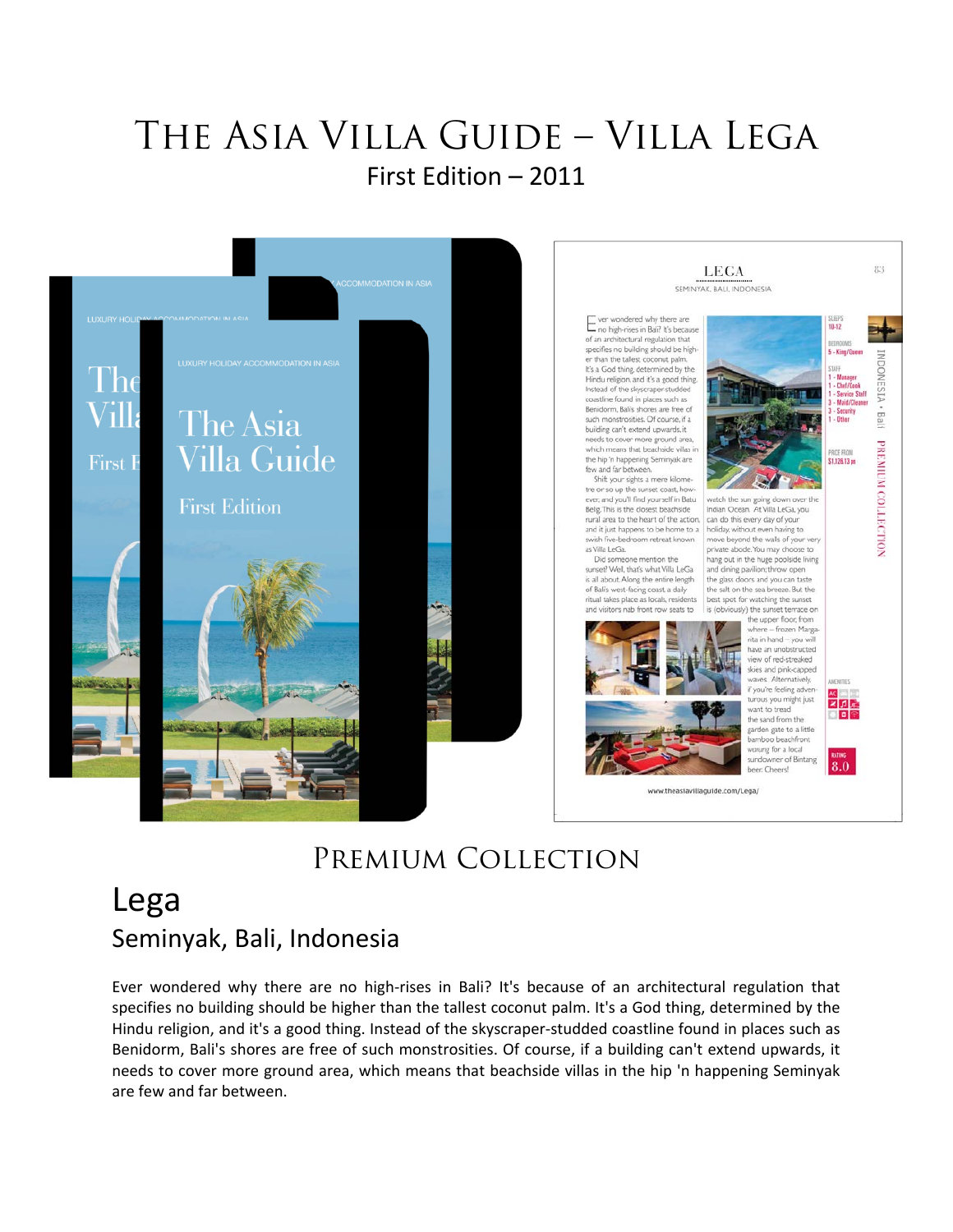## The Asia Villa Guide – Villa Lega First Edition – 2011



## Premium Collection

## Lega Seminyak, Bali, Indonesia

Ever wondered why there are no high-rises in Bali? It's because of an architectural regulation that specifies no building should be higher than the tallest coconut palm. It's a God thing, determined by the Hindu religion, and it's a good thing. Instead of the skyscraper‐studded coastline found in places such as Benidorm, Bali's shores are free of such monstrosities. Of course, if a building can't extend upwards, it needs to cover more ground area, which means that beachside villas in the hip 'n happening Seminyak are few and far between.